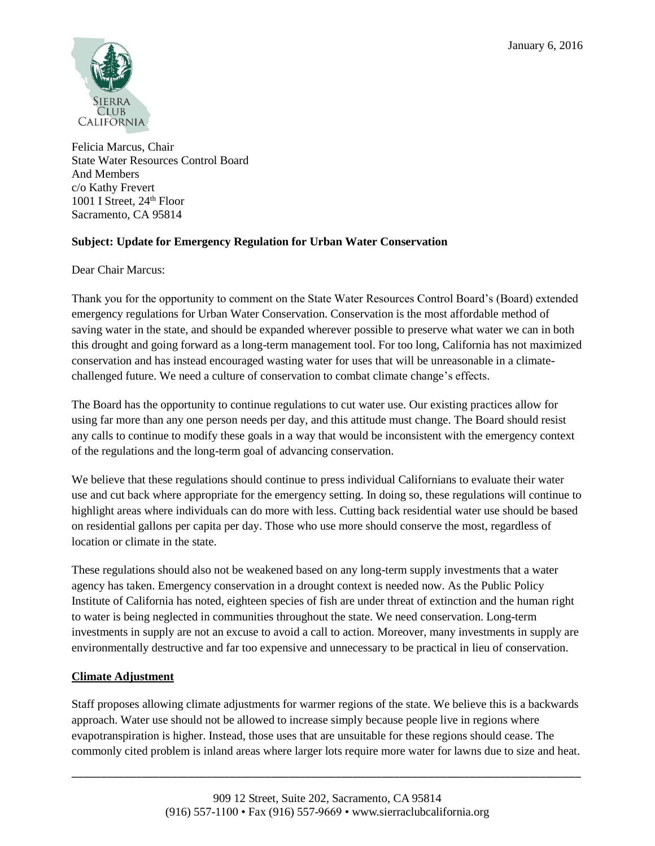

Felicia Marcus, Chair State Water Resources Control Board And Members c/o Kathy Frevert 1001 I Street,  $24<sup>th</sup>$  Floor Sacramento, CA 95814

# **Subject: Update for Emergency Regulation for Urban Water Conservation**

Dear Chair Marcus:

Thank you for the opportunity to comment on the State Water Resources Control Board's (Board) extended emergency regulations for Urban Water Conservation. Conservation is the most affordable method of saving water in the state, and should be expanded wherever possible to preserve what water we can in both this drought and going forward as a long-term management tool. For too long, California has not maximized conservation and has instead encouraged wasting water for uses that will be unreasonable in a climatechallenged future. We need a culture of conservation to combat climate change's effects.

The Board has the opportunity to continue regulations to cut water use. Our existing practices allow for using far more than any one person needs per day, and this attitude must change. The Board should resist any calls to continue to modify these goals in a way that would be inconsistent with the emergency context of the regulations and the long-term goal of advancing conservation.

We believe that these regulations should continue to press individual Californians to evaluate their water use and cut back where appropriate for the emergency setting. In doing so, these regulations will continue to highlight areas where individuals can do more with less. Cutting back residential water use should be based on residential gallons per capita per day. Those who use more should conserve the most, regardless of location or climate in the state.

These regulations should also not be weakened based on any long-term supply investments that a water agency has taken. Emergency conservation in a drought context is needed now. As the Public Policy Institute of California has noted, eighteen species of fish are under threat of extinction and the human right to water is being neglected in communities throughout the state. We need conservation. Long-term investments in supply are not an excuse to avoid a call to action. Moreover, many investments in supply are environmentally destructive and far too expensive and unnecessary to be practical in lieu of conservation.

# **Climate Adjustment**

Staff proposes allowing climate adjustments for warmer regions of the state. We believe this is a backwards approach. Water use should not be allowed to increase simply because people live in regions where evapotranspiration is higher. Instead, those uses that are unsuitable for these regions should cease. The commonly cited problem is inland areas where larger lots require more water for lawns due to size and heat.

\_\_\_\_\_\_\_\_\_\_\_\_\_\_\_\_\_\_\_\_\_\_\_\_\_\_\_\_\_\_\_\_\_\_\_\_\_\_\_\_\_\_\_\_\_\_\_\_\_\_\_\_\_\_\_\_\_\_\_\_\_\_\_\_\_\_\_\_\_\_\_\_\_\_\_\_\_\_\_\_\_\_\_\_\_\_\_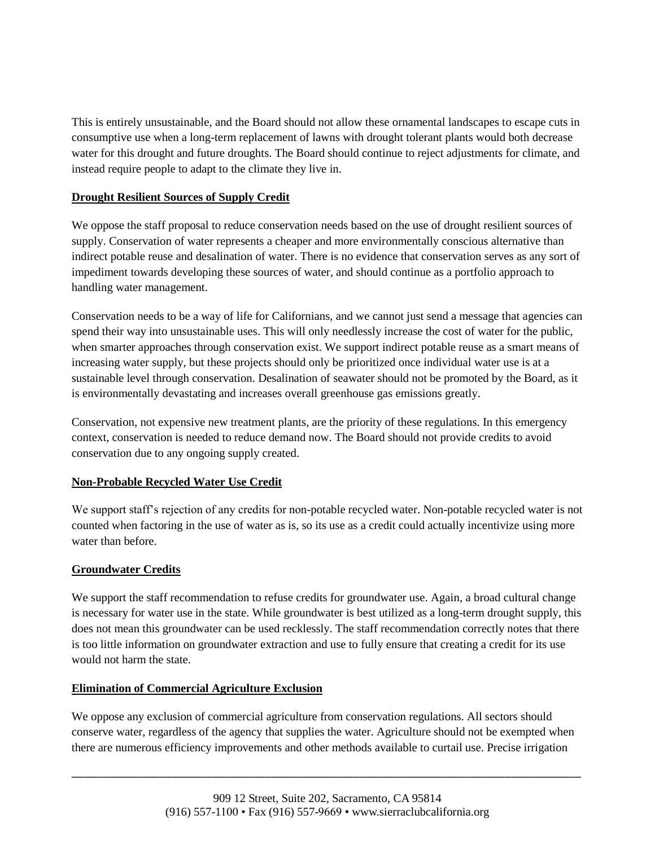This is entirely unsustainable, and the Board should not allow these ornamental landscapes to escape cuts in consumptive use when a long-term replacement of lawns with drought tolerant plants would both decrease water for this drought and future droughts. The Board should continue to reject adjustments for climate, and instead require people to adapt to the climate they live in.

### **Drought Resilient Sources of Supply Credit**

We oppose the staff proposal to reduce conservation needs based on the use of drought resilient sources of supply. Conservation of water represents a cheaper and more environmentally conscious alternative than indirect potable reuse and desalination of water. There is no evidence that conservation serves as any sort of impediment towards developing these sources of water, and should continue as a portfolio approach to handling water management.

Conservation needs to be a way of life for Californians, and we cannot just send a message that agencies can spend their way into unsustainable uses. This will only needlessly increase the cost of water for the public, when smarter approaches through conservation exist. We support indirect potable reuse as a smart means of increasing water supply, but these projects should only be prioritized once individual water use is at a sustainable level through conservation. Desalination of seawater should not be promoted by the Board, as it is environmentally devastating and increases overall greenhouse gas emissions greatly.

Conservation, not expensive new treatment plants, are the priority of these regulations. In this emergency context, conservation is needed to reduce demand now. The Board should not provide credits to avoid conservation due to any ongoing supply created.

# **Non-Probable Recycled Water Use Credit**

We support staff's rejection of any credits for non-potable recycled water. Non-potable recycled water is not counted when factoring in the use of water as is, so its use as a credit could actually incentivize using more water than before.

# **Groundwater Credits**

We support the staff recommendation to refuse credits for groundwater use. Again, a broad cultural change is necessary for water use in the state. While groundwater is best utilized as a long-term drought supply, this does not mean this groundwater can be used recklessly. The staff recommendation correctly notes that there is too little information on groundwater extraction and use to fully ensure that creating a credit for its use would not harm the state.

### **Elimination of Commercial Agriculture Exclusion**

We oppose any exclusion of commercial agriculture from conservation regulations. All sectors should conserve water, regardless of the agency that supplies the water. Agriculture should not be exempted when there are numerous efficiency improvements and other methods available to curtail use. Precise irrigation

\_\_\_\_\_\_\_\_\_\_\_\_\_\_\_\_\_\_\_\_\_\_\_\_\_\_\_\_\_\_\_\_\_\_\_\_\_\_\_\_\_\_\_\_\_\_\_\_\_\_\_\_\_\_\_\_\_\_\_\_\_\_\_\_\_\_\_\_\_\_\_\_\_\_\_\_\_\_\_\_\_\_\_\_\_\_\_